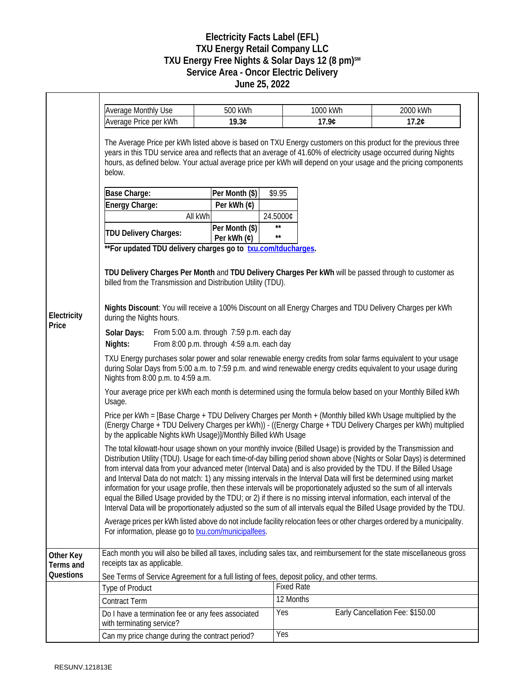## **Electricity Facts Label (EFL) TXU Energy Retail Company LLC TXU Energy Free Nights & Solar Days 12 (8 pm)SM Service Area - Oncor Electric Delivery June 25, 2022**

|                        | <b>Average Monthly Use</b>                                                                                                                                                                                                                                                                                                                                                                                                                                                                                                                                                                                                                                                                                                                                                                                                                                    | 500 kWh        |                              | 1000 kWh | 2000 kWh                         |  |
|------------------------|---------------------------------------------------------------------------------------------------------------------------------------------------------------------------------------------------------------------------------------------------------------------------------------------------------------------------------------------------------------------------------------------------------------------------------------------------------------------------------------------------------------------------------------------------------------------------------------------------------------------------------------------------------------------------------------------------------------------------------------------------------------------------------------------------------------------------------------------------------------|----------------|------------------------------|----------|----------------------------------|--|
|                        | Average Price per kWh                                                                                                                                                                                                                                                                                                                                                                                                                                                                                                                                                                                                                                                                                                                                                                                                                                         | 19.3¢          |                              | 17.9¢    | 17.2¢                            |  |
|                        | The Average Price per kWh listed above is based on TXU Energy customers on this product for the previous three<br>years in this TDU service area and reflects that an average of 41.60% of electricity usage occurred during Nights<br>hours, as defined below. Your actual average price per kWh will depend on your usage and the pricing components<br>below.                                                                                                                                                                                                                                                                                                                                                                                                                                                                                              |                |                              |          |                                  |  |
|                        | Base Charge:                                                                                                                                                                                                                                                                                                                                                                                                                                                                                                                                                                                                                                                                                                                                                                                                                                                  | Per Month (\$) | \$9.95                       |          |                                  |  |
|                        | Energy Charge:                                                                                                                                                                                                                                                                                                                                                                                                                                                                                                                                                                                                                                                                                                                                                                                                                                                | Per kWh (¢)    |                              |          |                                  |  |
|                        |                                                                                                                                                                                                                                                                                                                                                                                                                                                                                                                                                                                                                                                                                                                                                                                                                                                               | All kWh        | 24.5000¢                     |          |                                  |  |
|                        | <b>TDU Delivery Charges:</b>                                                                                                                                                                                                                                                                                                                                                                                                                                                                                                                                                                                                                                                                                                                                                                                                                                  | Per Month (\$) | $\star\star$<br>$\star\star$ |          |                                  |  |
|                        |                                                                                                                                                                                                                                                                                                                                                                                                                                                                                                                                                                                                                                                                                                                                                                                                                                                               | Per kWh (¢)    |                              |          |                                  |  |
|                        | **For updated TDU delivery charges go to txu.com/tducharges.                                                                                                                                                                                                                                                                                                                                                                                                                                                                                                                                                                                                                                                                                                                                                                                                  |                |                              |          |                                  |  |
|                        | TDU Delivery Charges Per Month and TDU Delivery Charges Per kWh will be passed through to customer as<br>billed from the Transmission and Distribution Utility (TDU).<br>Nights Discount: You will receive a 100% Discount on all Energy Charges and TDU Delivery Charges per kWh                                                                                                                                                                                                                                                                                                                                                                                                                                                                                                                                                                             |                |                              |          |                                  |  |
| Electricity            | during the Nights hours.                                                                                                                                                                                                                                                                                                                                                                                                                                                                                                                                                                                                                                                                                                                                                                                                                                      |                |                              |          |                                  |  |
| Price                  | From 5:00 a.m. through 7:59 p.m. each day<br>Solar Days:<br>Nights:<br>From 8:00 p.m. through 4:59 a.m. each day                                                                                                                                                                                                                                                                                                                                                                                                                                                                                                                                                                                                                                                                                                                                              |                |                              |          |                                  |  |
|                        | TXU Energy purchases solar power and solar renewable energy credits from solar farms equivalent to your usage<br>during Solar Days from 5:00 a.m. to 7:59 p.m. and wind renewable energy credits equivalent to your usage during<br>Nights from 8:00 p.m. to 4:59 a.m.                                                                                                                                                                                                                                                                                                                                                                                                                                                                                                                                                                                        |                |                              |          |                                  |  |
|                        | Your average price per kWh each month is determined using the formula below based on your Monthly Billed kWh<br>Usage.                                                                                                                                                                                                                                                                                                                                                                                                                                                                                                                                                                                                                                                                                                                                        |                |                              |          |                                  |  |
|                        | Price per kWh = [Base Charge + TDU Delivery Charges per Month + (Monthly billed kWh Usage multiplied by the<br>(Energy Charge + TDU Delivery Charges per kWh)) - ((Energy Charge + TDU Delivery Charges per kWh) multiplied<br>by the applicable Nights kWh Usage)]/Monthly Billed kWh Usage                                                                                                                                                                                                                                                                                                                                                                                                                                                                                                                                                                  |                |                              |          |                                  |  |
|                        | The total kilowatt-hour usage shown on your monthly invoice (Billed Usage) is provided by the Transmission and<br>Distribution Utility (TDU). Usage for each time-of-day billing period shown above (Nights or Solar Days) is determined<br>from interval data from your advanced meter (Interval Data) and is also provided by the TDU. If the Billed Usage<br>and Interval Data do not match: 1) any missing intervals in the Interval Data will first be determined using market<br>information for your usage profile, then these intervals will be proportionately adjusted so the sum of all intervals<br>equal the Billed Usage provided by the TDU; or 2) if there is no missing interval information, each interval of the<br>Interval Data will be proportionately adjusted so the sum of all intervals equal the Billed Usage provided by the TDU. |                |                              |          |                                  |  |
|                        | Average prices per kWh listed above do not include facility relocation fees or other charges ordered by a municipality.<br>For information, please go to <b>txu.com/municipalfees</b> .                                                                                                                                                                                                                                                                                                                                                                                                                                                                                                                                                                                                                                                                       |                |                              |          |                                  |  |
| Other Key<br>Terms and | Each month you will also be billed all taxes, including sales tax, and reimbursement for the state miscellaneous gross<br>receipts tax as applicable.                                                                                                                                                                                                                                                                                                                                                                                                                                                                                                                                                                                                                                                                                                         |                |                              |          |                                  |  |
| Questions              | See Terms of Service Agreement for a full listing of fees, deposit policy, and other terms.                                                                                                                                                                                                                                                                                                                                                                                                                                                                                                                                                                                                                                                                                                                                                                   |                |                              |          |                                  |  |
|                        | <b>Type of Product</b>                                                                                                                                                                                                                                                                                                                                                                                                                                                                                                                                                                                                                                                                                                                                                                                                                                        |                | <b>Fixed Rate</b>            |          |                                  |  |
|                        | <b>Contract Term</b>                                                                                                                                                                                                                                                                                                                                                                                                                                                                                                                                                                                                                                                                                                                                                                                                                                          |                | 12 Months                    |          |                                  |  |
|                        | Do I have a termination fee or any fees associated<br>with terminating service?                                                                                                                                                                                                                                                                                                                                                                                                                                                                                                                                                                                                                                                                                                                                                                               |                | Yes                          |          | Early Cancellation Fee: \$150.00 |  |
|                        | Can my price change during the contract period?                                                                                                                                                                                                                                                                                                                                                                                                                                                                                                                                                                                                                                                                                                                                                                                                               |                | <b>Yes</b>                   |          |                                  |  |